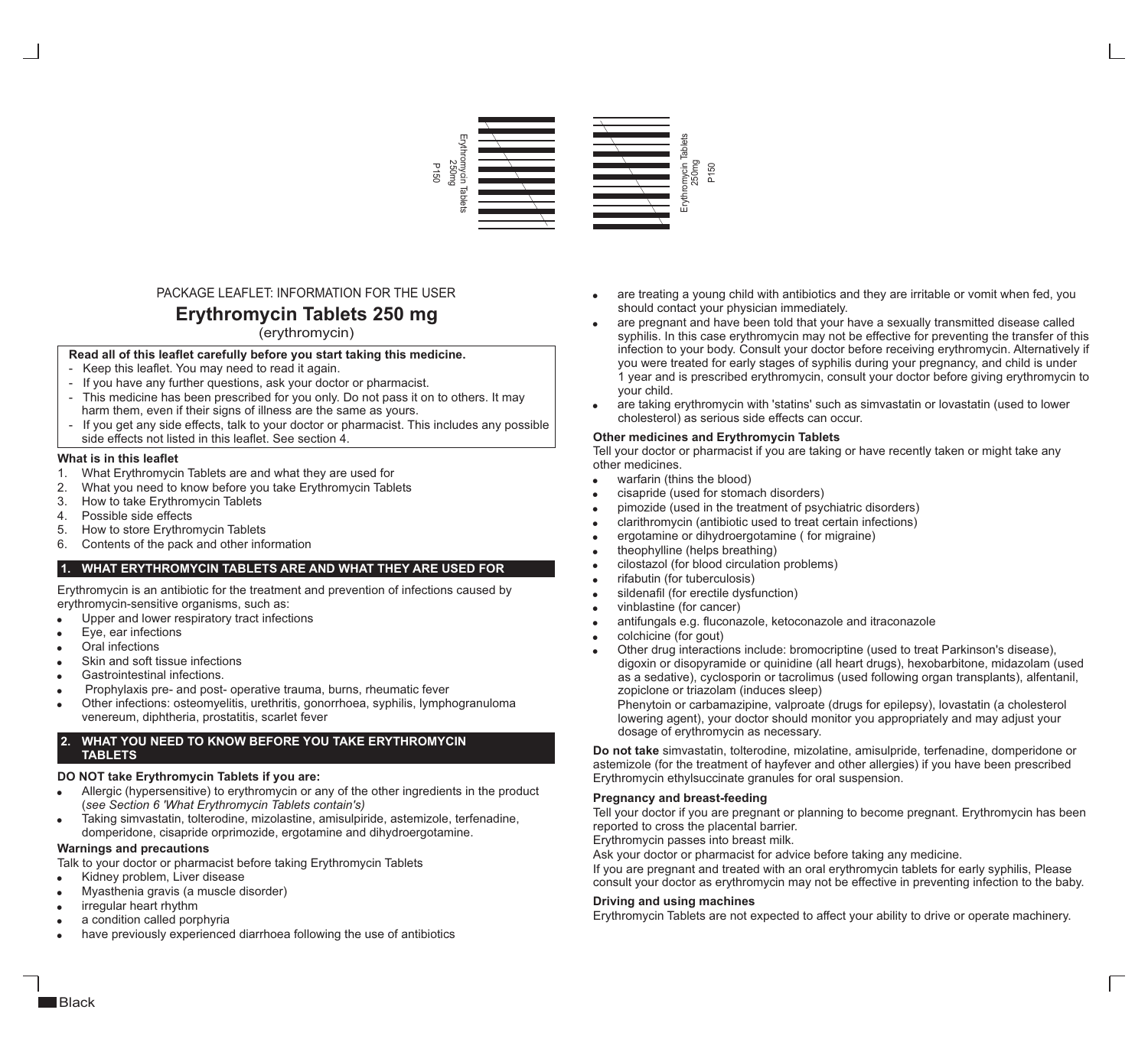

# PACKAGE LEAFLET: INFORMATION FOR THE USER

# **Erythromycin Tablets 250 mg**

(erythromycin)

# **Read all of this leaflet carefully before you start taking this medicine.**

- Keep this leaflet. You may need to read it again.
- If you have any further questions, ask your doctor or pharmacist.
- This medicine has been prescribed for you only. Do not pass it on to others. It may harm them, even if their signs of illness are the same as yours.
- If you get any side effects, talk to your doctor or pharmacist. This includes any possible side effects not listed in this leaflet. See section 4.

#### **What is in this leaflet**

- 1. What Erythromycin Tablets are and what they are used for
- 2. What you need to know before you take Erythromycin Tablets
- 3. How to take Erythromycin Tablets
- 4. Possible side effects
- 5. How to store Erythromycin Tablets
- 6. Contents of the pack and other information

# **1. WHAT ERYTHROMYCIN TABLETS ARE AND WHAT THEY ARE USED FOR**

Erythromycin is an antibiotic for the treatment and prevention of infections caused by

- Upper and lower respiratory tract infections
- Eye, ear infections<br>Oral infections
- 
- Skin and soft tissue infections
- Gastrointestinal infections.
- Prophylaxis pre- and post- operative trauma, burns, rheumatic fever
- · Prophylaxis pre- and post- operative trauma, burns, rheumatic fever Other infections: osteomyelitis, urethritis, gonorrhoea, syphilis, lymphogranuloma venereum, diphtheria, prostatitis, scarlet fever

# **2. WHAT YOU NEED TO KNOW BEFORE YOU TAKE ERYTHROMYCIN TABLETS**

# **DO NOT take Erythromycin Tablets if you are:**<br>• Allergic (hypersensitive) to erythromycin or a

- Allergic (hypersensitive) to erythromycin or any of the other ingredients in the product (*see Section 6 'What Erythromycin Tablets contain's)*
- Taking simvastatin, tolterodine, mizolastine, amisulpiride, astemizole, terfenadine, · domperidone, cisapride orprimozide, ergotamine and dihydroergotamine.

#### **Warnings and precautions**

Talk to your doctor or pharmacist before taking Erythromycin Tablets<br>• Kidney problem, Liver disease

- ·Kidney problem, Liver disease
- ·Myasthenia gravis (a muscle disorder)
- 
- ·irregular heart rhythm a condition called porphyria
- have previously experienced diarrhoea following the use of antibiotics
- are treating a young child with antibiotics and they are irritable or vomit when fed, you should contact your physician immediately.
- are pregnant and have been told that your have a sexually transmitted disease called syphilis. In this case erythromycin may not be effective for preventing the transfer of this infection to your body. Consult your doctor before receiving erythromycin. Alternatively if you were treated for early stages of syphilis during your pregnancy, and child is under 1 year and is prescribed erythromycin, consult your doctor before giving erythromycin to your child.
- are taking erythromycin with 'statins' such as simvastatin or lovastatin (used to lower cholesterol) as serious side effects can occur.

#### **Other medicines and Erythromycin Tablets**

Tell your doctor or pharmacist if you are taking or have recently taken or might take any other medicines.

- warfarin (thins the blood)
- cisapride (used for stomach disorders)
- pimozide (used in the treatment of psychiatric disorders)
- warfarin cisapride<br>• pimozide<br>• clarithror ergotami<br>• theophyll cilostazo<br>• rifabutin sildenafil<br>• sildenafil mitfunga<br>• colchicin Other dru clarithromycin (antibiotic used to treat certain infections)
- ergotamine or dihydroergotamine ( for migraine)
- theophylline (helps breathing)
- cilostazol (for blood circulation problems)
- rifabutin (for tuberculosis)
- sildenafil (for erectile dysfunction)
- vinblastine (for cancer)
- antifungals e.g. fluconazole, ketoconazole and itraconazole
- colchicine (for gout)
- Other drug interactions include: bromocriptine (used to treat Parkinson's disease), digoxin or disopyramide or quinidine (all heart drugs), hexobarbitone, midazolam (used as a sedative), cyclosporin or tacrolimus (used following organ transplants), alfentanil, zopiclone or triazolam (induces sleep)

Phenytoin or carbamazipine, valproate (drugs for epilepsy), lovastatin (a cholesterol lowering agent), your doctor should monitor you appropriately and may adjust your dosage of erythromycin as necessary.

**Do not take** simvastatin, tolterodine, mizolatine, amisulpride, terfenadine, domperidone or astemizole (for the treatment of hayfever and other allergies) if you have been prescribed Erythromycin ethylsuccinate granules for oral suspension.

#### **Pregnancy and breast-feeding**

Tell your doctor if you are pregnant or planning to become pregnant. Erythromycin has been reported to cross the placental barrier.

Erythromycin passes into breast milk.

Ask your doctor or pharmacist for advice before taking any medicine.

If you are pregnant and treated with an oral erythromycin tablets for early syphilis, Please consult your doctor as erythromycin may not be effective in preventing infection to the baby.

#### **Driving and using machines**

Erythromycin Tablets are not expected to affect your ability to drive or operate machinery.